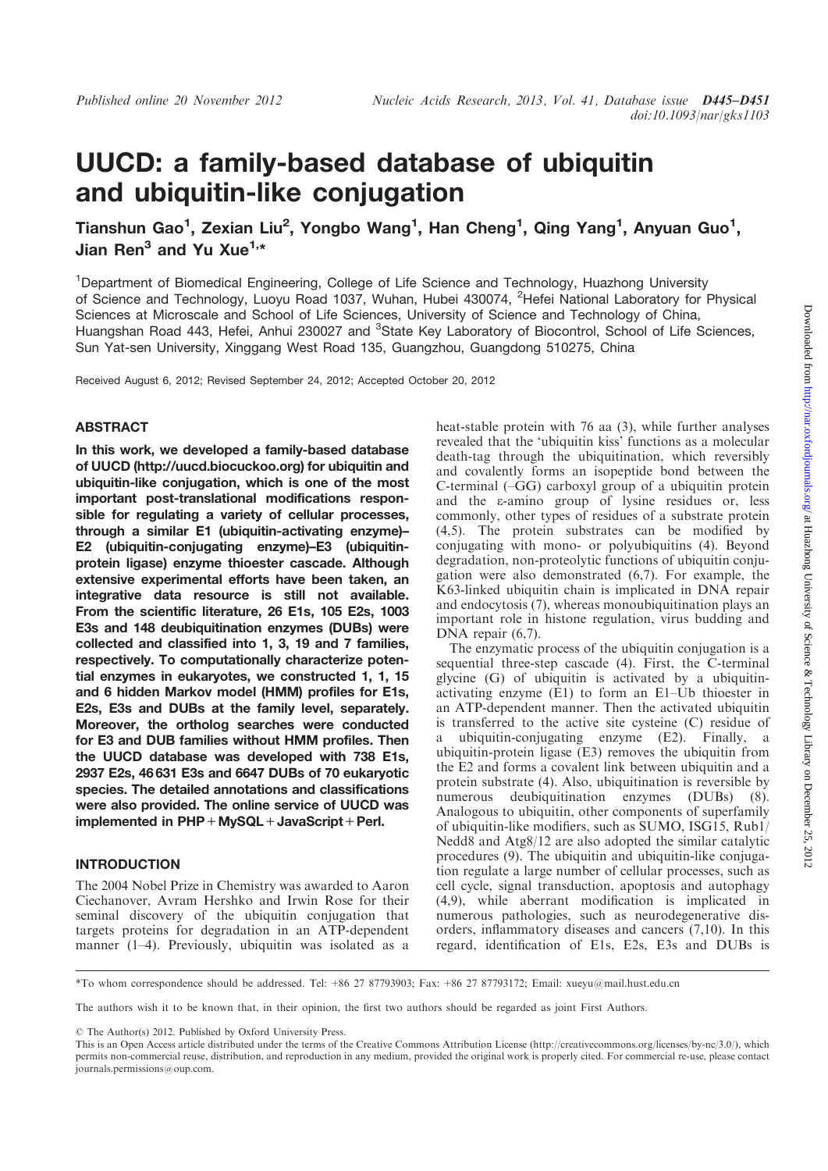# UUCD: a family-based database of ubiquitin and ubiquitin-like conjugation

Tianshun Gao<sup>1</sup>, Zexian Liu<sup>2</sup>, Yongbo Wang<sup>1</sup>, Han Cheng<sup>1</sup>, Qing Yang<sup>1</sup>, Anyuan Guo<sup>1</sup>, Jian Ren<sup>3</sup> and Yu Xue<sup>1,\*</sup>

<sup>1</sup>Department of Biomedical Engineering, College of Life Science and Technology, Huazhong University of Science and Technology, Luoyu Road 1037, Wuhan, Hubei 430074, <sup>2</sup>Hefei National Laboratory for Physical Sciences at Microscale and School of Life Sciences, University of Science and Technology of China, Huangshan Road 443, Hefei, Anhui 230027 and <sup>3</sup>State Key Laboratory of Biocontrol, School of Life Sciences, Sun Yat-sen University, Xinggang West Road 135, Guangzhou, Guangdong 510275, China

Received August 6, 2012; Revised September 24, 2012; Accepted October 20, 2012

### ABSTRACT

In this work, we developed a family-based database of UUCD (http://uucd.biocuckoo.org) for ubiquitin and ubiquitin-like conjugation, which is one of the most important post-translational modifications responsible for regulating a variety of cellular processes, through a similar E1 (ubiquitin-activating enzyme)– E2 (ubiquitin-conjugating enzyme)–E3 (ubiquitinprotein ligase) enzyme thioester cascade. Although extensive experimental efforts have been taken, an integrative data resource is still not available. From the scientific literature, 26 E1s, 105 E2s, 1003 E3s and 148 deubiquitination enzymes (DUBs) were collected and classified into 1, 3, 19 and 7 families, respectively. To computationally characterize potential enzymes in eukaryotes, we constructed 1, 1, 15 and 6 hidden Markov model (HMM) profiles for E1s, E2s, E3s and DUBs at the family level, separately. Moreover, the ortholog searches were conducted for E3 and DUB families without HMM profiles. Then the UUCD database was developed with 738 E1s, 2937 E2s, 46 631 E3s and 6647 DUBs of 70 eukaryotic species. The detailed annotations and classifications were also provided. The online service of UUCD was implemented in PHP + MySQL + JavaScript + Perl.

# INTRODUCTION

The 2004 Nobel Prize in Chemistry was awarded to Aaron Ciechanover, Avram Hershko and Irwin Rose for their seminal discovery of the ubiquitin conjugation that targets proteins for degradation in an ATP-dependent manner (1–4). Previously, ubiquitin was isolated as a heat-stable protein with 76 aa (3), while further analyses revealed that the 'ubiquitin kiss' functions as a molecular death-tag through the ubiquitination, which reversibly and covalently forms an isopeptide bond between the C-terminal (–GG) carboxyl group of a ubiquitin protein and the e-amino group of lysine residues or, less commonly, other types of residues of a substrate protein (4,5). The protein substrates can be modified by conjugating with mono- or polyubiquitins (4). Beyond degradation, non-proteolytic functions of ubiquitin conjugation were also demonstrated (6,7). For example, the K63-linked ubiquitin chain is implicated in DNA repair and endocytosis (7), whereas monoubiquitination plays an important role in histone regulation, virus budding and DNA repair  $(6,7)$ .

The enzymatic process of the ubiquitin conjugation is a sequential three-step cascade (4). First, the C-terminal glycine (G) of ubiquitin is activated by a ubiquitinactivating enzyme (E1) to form an E1–Ub thioester in an ATP-dependent manner. Then the activated ubiquitin is transferred to the active site cysteine (C) residue of a ubiquitin-conjugating enzyme (E2). Finally, a ubiquitin-protein ligase (E3) removes the ubiquitin from the E2 and forms a covalent link between ubiquitin and a protein substrate (4). Also, ubiquitination is reversible by numerous deubiquitination enzymes (DUBs) (8). Analogous to ubiquitin, other components of superfamily of ubiquitin-like modifiers, such as SUMO, ISG15, Rub1/ Nedd8 and Atg8/12 are also adopted the similar catalytic procedures (9). The ubiquitin and ubiquitin-like conjugation regulate a large number of cellular processes, such as cell cycle, signal transduction, apoptosis and autophagy (4,9), while aberrant modification is implicated in numerous pathologies, such as neurodegenerative disorders, inflammatory diseases and cancers (7,10). In this regard, identification of E1s, E2s, E3s and DUBs is

\*To whom correspondence should be addressed. Tel: +86 27 87793903; Fax: +86 27 87793172; Email: xueyu@mail.hust.edu.cn

The authors wish it to be known that, in their opinion, the first two authors should be regarded as joint First Authors.

© The Author(s) 2012. Published by Oxford University Press.

This is an Open Access article distributed under the terms of the Creative Commons Attribution License (http://creativecommons.org/licenses/by-nc/3.0/), which permits non-commercial reuse, distribution, and reproduction in any medium, provided the original work is properly cited. For commercial re-use, please contact journals.permissions@oup.com.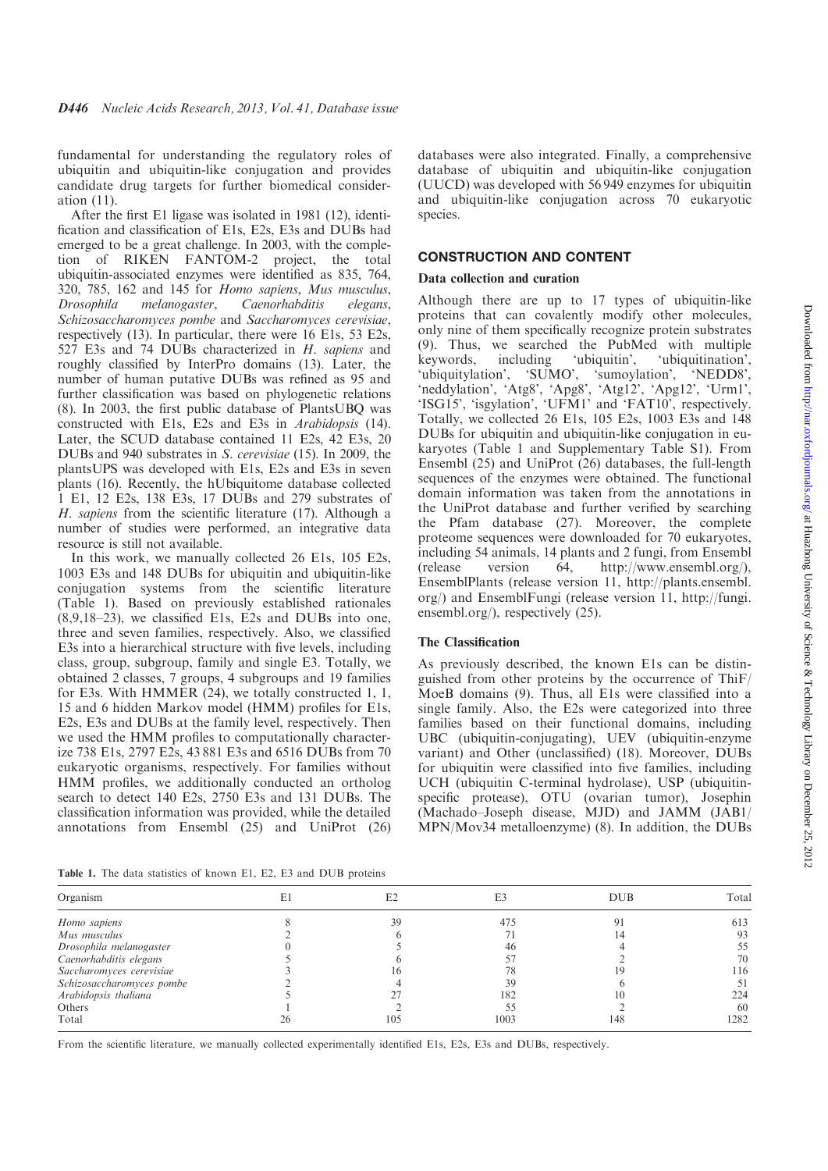fundamental for understanding the regulatory roles of ubiquitin and ubiquitin-like conjugation and provides candidate drug targets for further biomedical consideration (11).

After the first E1 ligase was isolated in 1981 (12), identification and classification of E1s, E2s, E3s and DUBs had emerged to be a great challenge. In 2003, with the completion of RIKEN FANTOM-2 project, the total ubiquitin-associated enzymes were identified as 835, 764, 320, 785, 162 and 145 for Homo sapiens, Mus musculus, Drosophila melanogaster, Caenorhabditis elegans, Schizosaccharomyces pombe and Saccharomyces cerevisiae, respectively (13). In particular, there were 16 E1s, 53 E2s, 527 E3s and 74 DUBs characterized in H. sapiens and roughly classified by InterPro domains (13). Later, the number of human putative DUBs was refined as 95 and further classification was based on phylogenetic relations (8). In 2003, the first public database of PlantsUBQ was constructed with E1s, E2s and E3s in Arabidopsis (14). Later, the SCUD database contained 11 E2s, 42 E3s, 20 DUBs and 940 substrates in S. cerevisiae (15). In 2009, the plantsUPS was developed with E1s, E2s and E3s in seven plants (16). Recently, the hUbiquitome database collected 1 E1, 12 E2s, 138 E3s, 17 DUBs and 279 substrates of H. sapiens from the scientific literature (17). Although a number of studies were performed, an integrative data resource is still not available.

In this work, we manually collected 26 E1s, 105 E2s, 1003 E3s and 148 DUBs for ubiquitin and ubiquitin-like conjugation systems from the scientific literature (Table 1). Based on previously established rationales (8,9,18–23), we classified E1s, E2s and DUBs into one, three and seven families, respectively. Also, we classified E3s into a hierarchical structure with five levels, including class, group, subgroup, family and single E3. Totally, we obtained 2 classes, 7 groups, 4 subgroups and 19 families for E3s. With HMMER (24), we totally constructed 1, 1, 15 and 6 hidden Markov model (HMM) profiles for E1s, E2s, E3s and DUBs at the family level, respectively. Then we used the HMM profiles to computationally characterize 738 E1s, 2797 E2s, 43 881 E3s and 6516 DUBs from 70 eukaryotic organisms, respectively. For families without HMM profiles, we additionally conducted an ortholog search to detect 140 E2s, 2750 E3s and 131 DUBs. The classification information was provided, while the detailed annotations from Ensembl (25) and UniProt (26)

databases were also integrated. Finally, a comprehensive database of ubiquitin and ubiquitin-like conjugation (UUCD) was developed with 56 949 enzymes for ubiquitin and ubiquitin-like conjugation across 70 eukaryotic species.

## CONSTRUCTION AND CONTENT

#### Data collection and curation

Although there are up to 17 types of ubiquitin-like proteins that can covalently modify other molecules, only nine of them specifically recognize protein substrates (9). Thus, we searched the PubMed with multiple keywords, including 'ubiquitin', 'ubiquitination', 'ubiquitylation', 'SUMO', 'sumoylation', 'NEDD8', 'neddylation', 'Atg8', 'Apg8', 'Atg12', 'Apg12', 'Urm1', 'ISG15', 'isgylation', 'UFM1' and 'FAT10', respectively. Totally, we collected 26 E1s, 105 E2s, 1003 E3s and 148 DUBs for ubiquitin and ubiquitin-like conjugation in eukaryotes (Table 1 and Supplementary Table S1). From Ensembl (25) and UniProt (26) databases, the full-length sequences of the enzymes were obtained. The functional domain information was taken from the annotations in the UniProt database and further verified by searching the Pfam database (27). Moreover, the complete proteome sequences were downloaded for 70 eukaryotes, including 54 animals, 14 plants and 2 fungi, from Ensembl (release version 64, http://www.ensembl.org/), EnsemblPlants (release version 11, http://plants.ensembl. org/) and EnsemblFungi (release version 11, http://fungi. ensembl.org/), respectively (25).

#### The Classification

As previously described, the known E1s can be distinguished from other proteins by the occurrence of ThiF/ MoeB domains (9). Thus, all E1s were classified into a single family. Also, the E2s were categorized into three families based on their functional domains, including UBC (ubiquitin-conjugating), UEV (ubiquitin-enzyme variant) and Other (unclassified) (18). Moreover, DUBs for ubiquitin were classified into five families, including UCH (ubiquitin C-terminal hydrolase), USP (ubiquitinspecific protease), OTU (ovarian tumor), Josephin (Machado–Joseph disease, MJD) and JAMM (JAB1/ MPN/Mov34 metalloenzyme) (8). In addition, the DUBs

Table 1. The data statistics of known E1, E2, E3 and DUB proteins

| Organism                  | E1 | E2  | E3   | <b>DUB</b> | Tota |
|---------------------------|----|-----|------|------------|------|
| Homo sapiens              |    | 39  | 475  |            | 613  |
| Mus musculus              |    |     |      |            | 93   |
| Drosophila melanogaster   |    |     | 46   |            | 55   |
| Caenorhabditis elegans    |    |     |      |            | 70   |
| Saccharomyces cerevisiae  |    | 16  |      |            | 116  |
| Schizosaccharomyces pombe |    |     | 39   |            | 51   |
| Arabidopsis thaliana      |    |     | 182  |            | 224  |
| Others                    |    |     |      |            | -60  |
| Total                     | 26 | 105 | 1003 | 148        | 1282 |

From the scientific literature, we manually collected experimentally identified E1s, E2s, E3s and DUBs, respectively.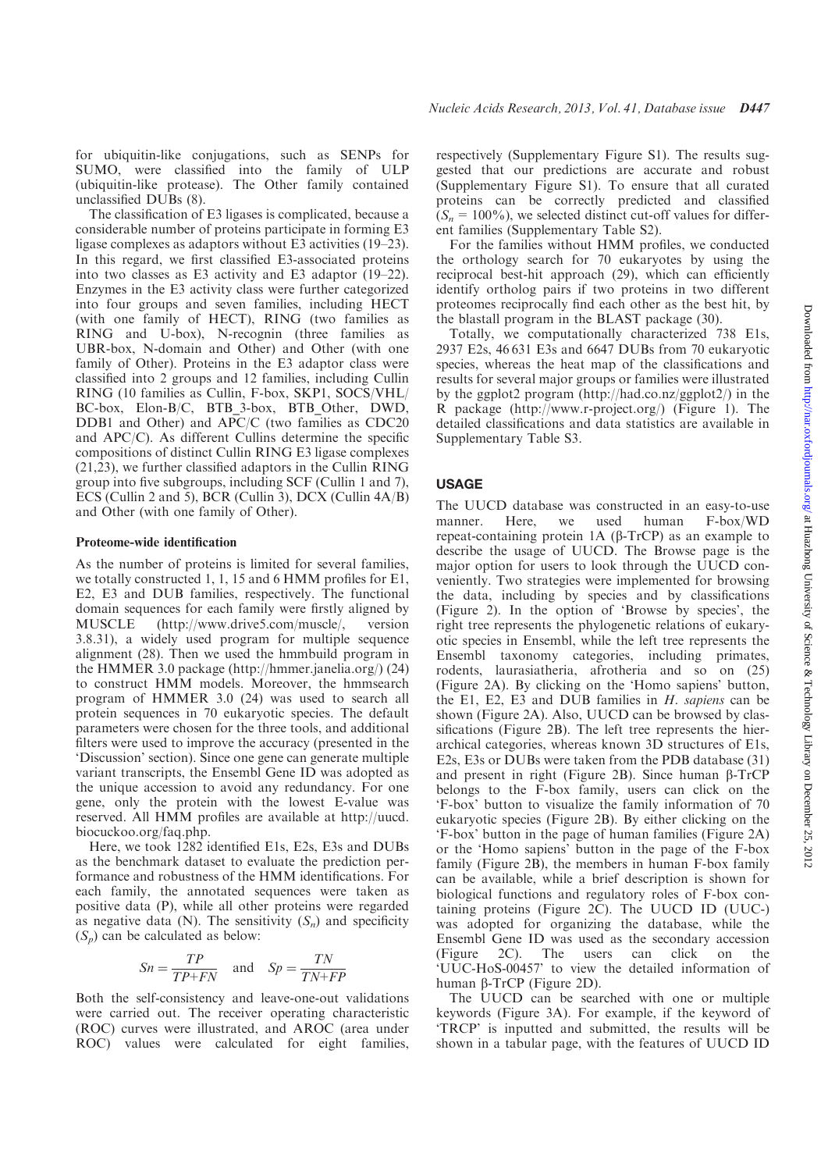for ubiquitin-like conjugations, such as SENPs for SUMO, were classified into the family of ULP (ubiquitin-like protease). The Other family contained unclassified DUBs (8).

The classification of E3 ligases is complicated, because a considerable number of proteins participate in forming E3 ligase complexes as adaptors without E3 activities (19–23). In this regard, we first classified E3-associated proteins into two classes as E3 activity and E3 adaptor (19–22). Enzymes in the E3 activity class were further categorized into four groups and seven families, including HECT (with one family of HECT), RING (two families as RING and U-box), N-recognin (three families as UBR-box, N-domain and Other) and Other (with one family of Other). Proteins in the E3 adaptor class were classified into 2 groups and 12 families, including Cullin RING (10 families as Cullin, F-box, SKP1, SOCS/VHL/ BC-box, Elon-B/C, BTB\_3-box, BTB\_Other, DWD, DDB1 and Other) and APC/C (two families as CDC20 and APC/C). As different Cullins determine the specific compositions of distinct Cullin RING E3 ligase complexes (21,23), we further classified adaptors in the Cullin RING group into five subgroups, including SCF (Cullin 1 and 7), ECS (Cullin 2 and 5), BCR (Cullin 3), DCX (Cullin 4A/B) and Other (with one family of Other).

#### Proteome-wide identification

As the number of proteins is limited for several families, we totally constructed 1, 1, 15 and 6 HMM profiles for E1, E2, E3 and DUB families, respectively. The functional domain sequences for each family were firstly aligned by MUSCLE (http://www.drive5.com/muscle/, version 3.8.31), a widely used program for multiple sequence alignment (28). Then we used the hmmbuild program in the HMMER 3.0 package (http://hmmer.janelia.org/) (24) to construct HMM models. Moreover, the hmmsearch program of HMMER 3.0 (24) was used to search all protein sequences in 70 eukaryotic species. The default parameters were chosen for the three tools, and additional filters were used to improve the accuracy (presented in the 'Discussion' section). Since one gene can generate multiple variant transcripts, the Ensembl Gene ID was adopted as the unique accession to avoid any redundancy. For one gene, only the protein with the lowest E-value was reserved. All HMM profiles are available at http://uucd. biocuckoo.org/faq.php.

Here, we took 1282 identified E1s, E2s, E3s and DUBs as the benchmark dataset to evaluate the prediction performance and robustness of the HMM identifications. For each family, the annotated sequences were taken as positive data (P), while all other proteins were regarded as negative data (N). The sensitivity  $(S_n)$  and specificity  $(S_n)$  can be calculated as below:

$$
Sn = \frac{TP}{TP + FN} \quad \text{and} \quad Sp = \frac{TN}{TN + FP}
$$

Both the self-consistency and leave-one-out validations were carried out. The receiver operating characteristic (ROC) curves were illustrated, and AROC (area under ROC) values were calculated for eight families,

respectively (Supplementary Figure S1). The results suggested that our predictions are accurate and robust (Supplementary Figure S1). To ensure that all curated proteins can be correctly predicted and classified  $(S_n = 100\%)$ , we selected distinct cut-off values for different families (Supplementary Table S2).

For the families without HMM profiles, we conducted the orthology search for 70 eukaryotes by using the reciprocal best-hit approach (29), which can efficiently identify ortholog pairs if two proteins in two different proteomes reciprocally find each other as the best hit, by the blastall program in the BLAST package (30).

Totally, we computationally characterized 738 E1s, 2937 E2s, 46 631 E3s and 6647 DUBs from 70 eukaryotic species, whereas the heat map of the classifications and results for several major groups or families were illustrated by the ggplot2 program (http://had.co.nz/ggplot2/) in the R package (http://www.r-project.org/) (Figure 1). The detailed classifications and data statistics are available in Supplementary Table S3.

## USAGE

The UUCD database was constructed in an easy-to-use manner. Here, we used human F-box/WD repeat-containing protein  $1A$  ( $\beta$ -TrCP) as an example to describe the usage of UUCD. The Browse page is the major option for users to look through the UUCD conveniently. Two strategies were implemented for browsing the data, including by species and by classifications (Figure 2). In the option of 'Browse by species', the right tree represents the phylogenetic relations of eukaryotic species in Ensembl, while the left tree represents the Ensembl taxonomy categories, including primates, rodents, laurasiatheria, afrotheria and so on (25) (Figure 2A). By clicking on the 'Homo sapiens' button, the E1, E2, E3 and DUB families in H. sapiens can be shown (Figure 2A). Also, UUCD can be browsed by classifications (Figure 2B). The left tree represents the hierarchical categories, whereas known 3D structures of E1s, E2s, E3s or DUBs were taken from the PDB database (31) and present in right (Figure 2B). Since human  $\beta$ -TrCP belongs to the F-box family, users can click on the 'F-box' button to visualize the family information of 70 eukaryotic species (Figure 2B). By either clicking on the 'F-box' button in the page of human families (Figure 2A) or the 'Homo sapiens' button in the page of the F-box family (Figure 2B), the members in human F-box family can be available, while a brief description is shown for biological functions and regulatory roles of F-box containing proteins (Figure 2C). The UUCD ID (UUC-) was adopted for organizing the database, while the Ensembl Gene ID was used as the secondary accession (Figure 2C). The users can click on the 'UUC-HoS-00457' to view the detailed information of human b-TrCP (Figure 2D).

The UUCD can be searched with one or multiple keywords (Figure 3A). For example, if the keyword of 'TRCP' is inputted and submitted, the results will be shown in a tabular page, with the features of UUCD ID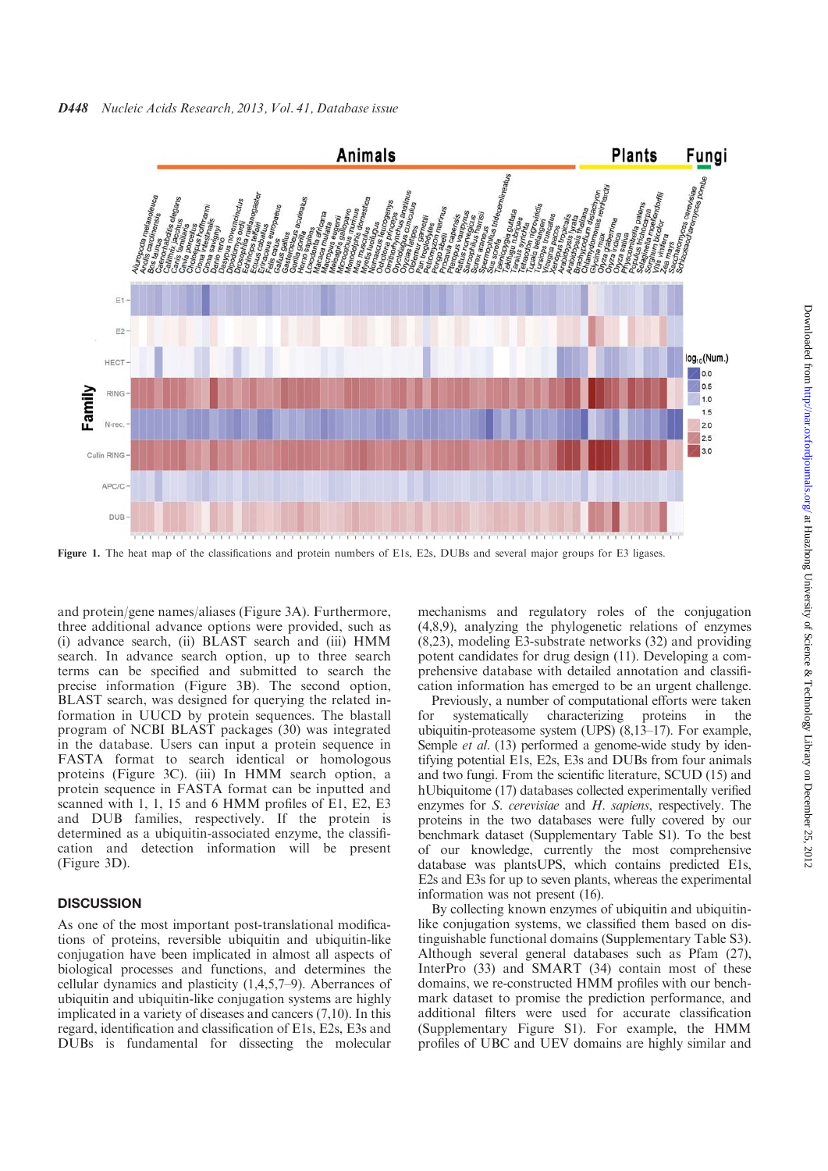

Figure 1. The heat map of the classifications and protein numbers of E1s, E2s, DUBs and several major groups for E3 ligases.

and protein/gene names/aliases (Figure 3A). Furthermore, three additional advance options were provided, such as (i) advance search, (ii) BLAST search and (iii) HMM search. In advance search option, up to three search terms can be specified and submitted to search the precise information (Figure 3B). The second option, BLAST search, was designed for querying the related information in UUCD by protein sequences. The blastall program of NCBI BLAST packages (30) was integrated in the database. Users can input a protein sequence in FASTA format to search identical or homologous proteins (Figure 3C). (iii) In HMM search option, a protein sequence in FASTA format can be inputted and scanned with 1, 1, 15 and 6 HMM profiles of E1, E2, E3 and DUB families, respectively. If the protein is determined as a ubiquitin-associated enzyme, the classification and detection information will be present (Figure 3D).

## **DISCUSSION**

As one of the most important post-translational modifications of proteins, reversible ubiquitin and ubiquitin-like conjugation have been implicated in almost all aspects of biological processes and functions, and determines the cellular dynamics and plasticity (1,4,5,7–9). Aberrances of ubiquitin and ubiquitin-like conjugation systems are highly implicated in a variety of diseases and cancers (7,10). In this regard, identification and classification of E1s, E2s, E3s and DUBs is fundamental for dissecting the molecular

mechanisms and regulatory roles of the conjugation (4,8,9), analyzing the phylogenetic relations of enzymes (8,23), modeling E3-substrate networks (32) and providing potent candidates for drug design (11). Developing a comprehensive database with detailed annotation and classification information has emerged to be an urgent challenge.

Previously, a number of computational efforts were taken for systematically characterizing proteins in the ubiquitin-proteasome system (UPS) (8,13–17). For example, Semple *et al.* (13) performed a genome-wide study by identifying potential E1s, E2s, E3s and DUBs from four animals and two fungi. From the scientific literature, SCUD (15) and hUbiquitome (17) databases collected experimentally verified enzymes for S. cerevisiae and H. sapiens, respectively. The proteins in the two databases were fully covered by our benchmark dataset (Supplementary Table S1). To the best of our knowledge, currently the most comprehensive database was plantsUPS, which contains predicted E1s, E2s and E3s for up to seven plants, whereas the experimental information was not present (16).

By collecting known enzymes of ubiquitin and ubiquitinlike conjugation systems, we classified them based on distinguishable functional domains (Supplementary Table S3). Although several general databases such as Pfam (27), InterPro (33) and SMART (34) contain most of these domains, we re-constructed HMM profiles with our benchmark dataset to promise the prediction performance, and additional filters were used for accurate classification (Supplementary Figure S1). For example, the HMM profiles of UBC and UEV domains are highly similar and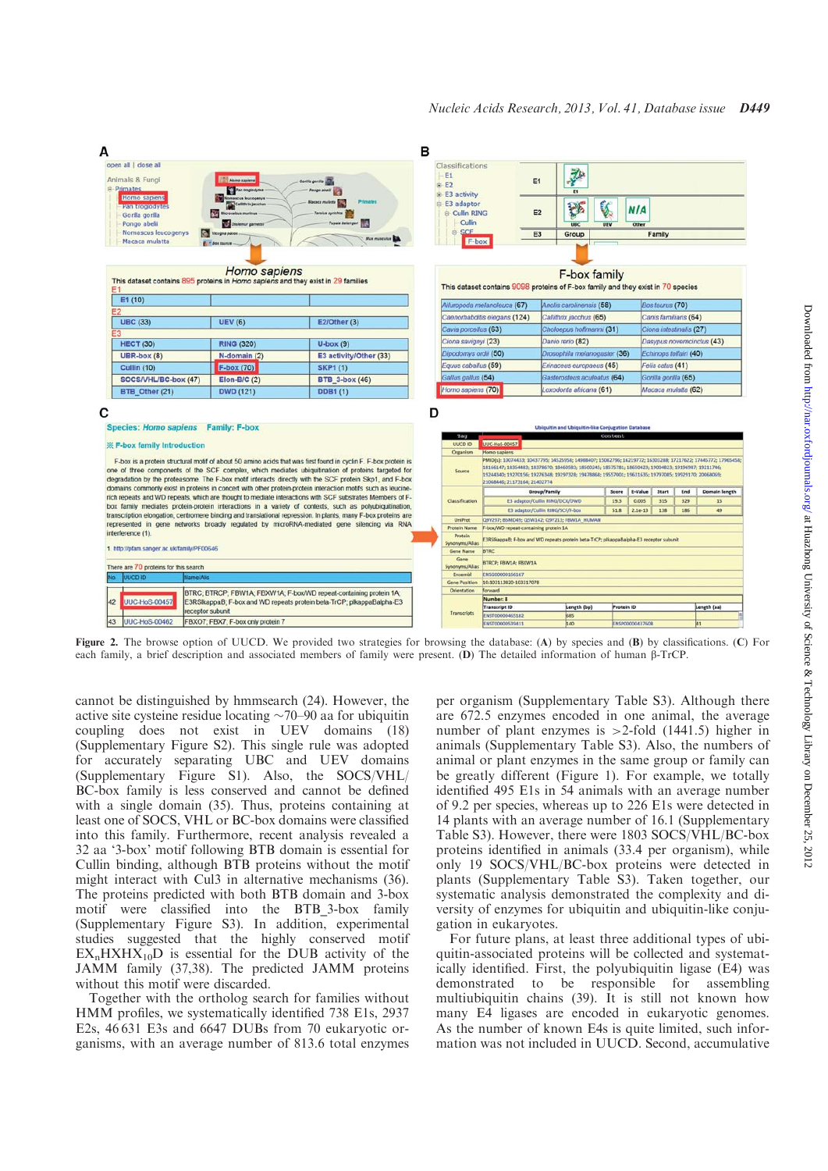

Figure 2. The browse option of UUCD. We provided two strategies for browsing the database: (A) by species and (B) by classifications. (C) For each family, a brief description and associated members of family were present. (D) The detailed information of human b-TrCP.

cannot be distinguished by hmmsearch (24). However, the active site cysteine residue locating  $\sim$ 70–90 aa for ubiquitin coupling does not exist in UEV domains (18) (Supplementary Figure S2). This single rule was adopted for accurately separating UBC and UEV domains (Supplementary Figure S1). Also, the SOCS/VHL/ BC-box family is less conserved and cannot be defined with a single domain (35). Thus, proteins containing at least one of SOCS, VHL or BC-box domains were classified into this family. Furthermore, recent analysis revealed a 32 aa '3-box' motif following BTB domain is essential for Cullin binding, although BTB proteins without the motif might interact with Cul3 in alternative mechanisms (36). The proteins predicted with both BTB domain and 3-box motif were classified into the BTB\_3-box family (Supplementary Figure S3). In addition, experimental studies suggested that the highly conserved motif  $EX_nHXHX_{10}D$  is essential for the DUB activity of the JAMM family (37,38). The predicted JAMM proteins without this motif were discarded.

Together with the ortholog search for families without HMM profiles, we systematically identified 738 E1s, 2937 E2s, 46 631 E3s and 6647 DUBs from 70 eukaryotic organisms, with an average number of 813.6 total enzymes per organism (Supplementary Table S3). Although there are 672.5 enzymes encoded in one animal, the average number of plant enzymes is >2-fold (1441.5) higher in animals (Supplementary Table S3). Also, the numbers of animal or plant enzymes in the same group or family can be greatly different (Figure 1). For example, we totally identified 495 E1s in 54 animals with an average number of 9.2 per species, whereas up to 226 E1s were detected in 14 plants with an average number of 16.1 (Supplementary Table S3). However, there were 1803 SOCS/VHL/BC-box proteins identified in animals (33.4 per organism), while only 19 SOCS/VHL/BC-box proteins were detected in plants (Supplementary Table S3). Taken together, our systematic analysis demonstrated the complexity and diversity of enzymes for ubiquitin and ubiquitin-like conjugation in eukaryotes.

For future plans, at least three additional types of ubiquitin-associated proteins will be collected and systematically identified. First, the polyubiquitin ligase (E4) was demonstrated to be responsible for assembling multiubiquitin chains (39). It is still not known how many E4 ligases are encoded in eukaryotic genomes. As the number of known E4s is quite limited, such information was not included in UUCD. Second, accumulative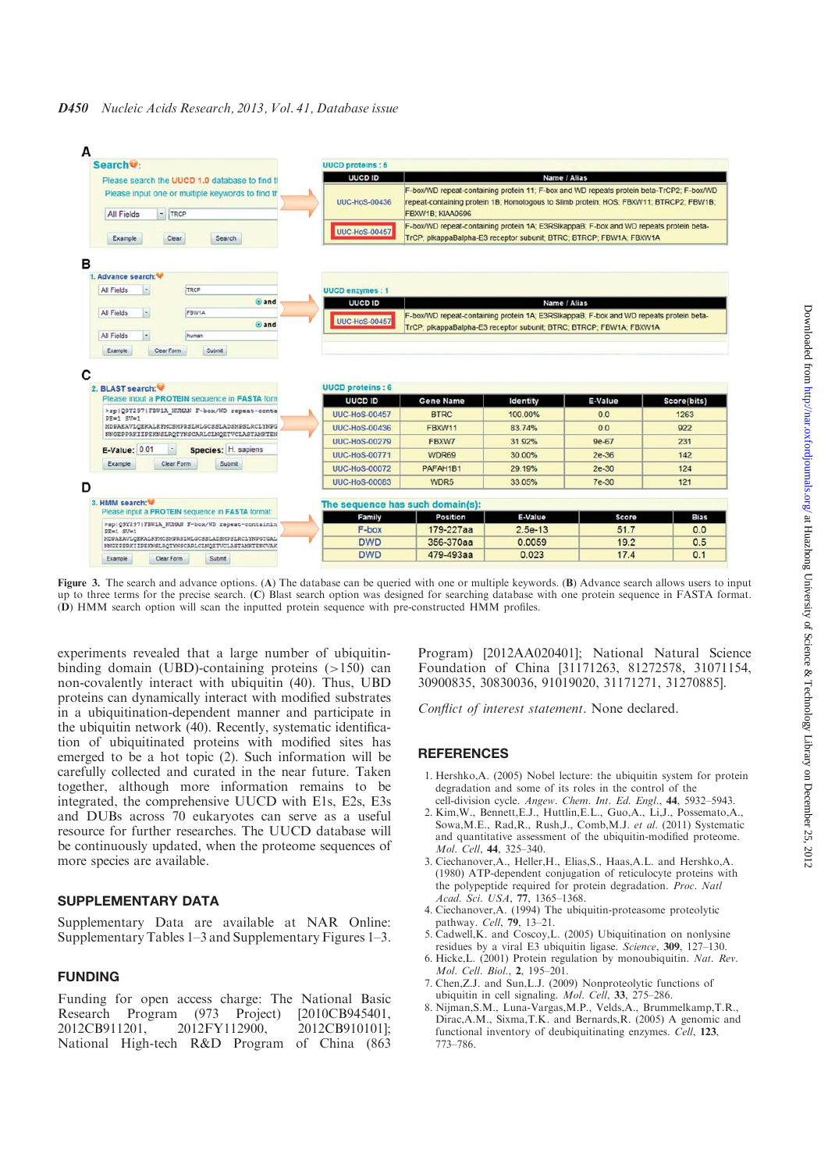| Search <sup>Q</sup> :                                                                                                                      | <b>UUCD proteins: 5</b>  |                                                                                                                                                                                                        |                 |              |             |  |
|--------------------------------------------------------------------------------------------------------------------------------------------|--------------------------|--------------------------------------------------------------------------------------------------------------------------------------------------------------------------------------------------------|-----------------|--------------|-------------|--|
| Please search the UUCD 1.0 database to find th                                                                                             | <b>UUCD ID</b>           |                                                                                                                                                                                                        | Name / Alias    |              |             |  |
| Please input one or multiple keywords to find th<br>- TRCP<br>All Fields                                                                   | <b>UUC-HoS-00436</b>     | F-box/WD repeat-containing protein 11; F-box and WD repeats protein beta-TrCP2; F-box/WD<br>repeat-containing protein 1B; Homologous to Slimb protein; HOS; FBXW11; BTRCP2; FBW1B;<br>FBXW1B: KIAA0696 |                 |              |             |  |
| Clear<br>Example<br>Search                                                                                                                 | <b>UUC-HoS-00457</b>     | F-box/WD repeat-containing protein 1A; E3RSIkappaB; F-box and WD repeats protein beta-<br>TrCP; plkappaBalpha-E3 receptor subunit; BTRC; BTRCP; FBW1A; FBXW1A                                          |                 |              |             |  |
|                                                                                                                                            |                          |                                                                                                                                                                                                        |                 |              |             |  |
| 1. Advance search: W                                                                                                                       |                          |                                                                                                                                                                                                        |                 |              |             |  |
| TRCP<br>All Fields                                                                                                                         | <b>UUCD enzymes: 1</b>   |                                                                                                                                                                                                        |                 |              |             |  |
| $@$ and                                                                                                                                    | UUCD ID                  |                                                                                                                                                                                                        | Name / Alias    |              |             |  |
| All Fields<br>FBW1A<br>×                                                                                                                   | <b>UUC-HoS-00457</b>     | F-box/WD repeat-containing protein 1A; E3RSIkappaB; F-box and WD repeats protein beta-                                                                                                                 |                 |              |             |  |
| $Q$ and                                                                                                                                    |                          | TrCP; plkappaBalpha-E3 receptor subunit; BTRC; BTRCP; FBW1A; FBXW1A                                                                                                                                    |                 |              |             |  |
| All Fields<br>human                                                                                                                        |                          |                                                                                                                                                                                                        |                 |              |             |  |
|                                                                                                                                            |                          |                                                                                                                                                                                                        |                 |              |             |  |
|                                                                                                                                            | <b>UUCD</b> proteins : 6 |                                                                                                                                                                                                        |                 |              |             |  |
| Please input a PROTEIN sequence in FASTA form                                                                                              | <b>UUCD ID</b>           | <b>Gene Name</b>                                                                                                                                                                                       | Identity        | E-Value      | Score(bits) |  |
| >sp Q9Y297 FBW1A HUMAN F-box/WD repeat-conta<br>$PE=1$ SV=1                                                                                | <b>UUC-HoS-00457</b>     | <b>BTRC</b>                                                                                                                                                                                            | 100.00%         | 0.0          | 1263        |  |
| MDPAEAVLQEKALKFMCSMPRSLWLGCSSLADSMPSLRCLYNPG<br>NNGEPPRKIIPEKNSLRQTYNSCARLCLNQETVCLASTAMKTEN                                               | <b>UUC-HoS-00436</b>     | <b>FBXW11</b>                                                                                                                                                                                          | 83.74%          | 0.0          | 922         |  |
|                                                                                                                                            | <b>UUC-HoS-00279</b>     | FBXW7                                                                                                                                                                                                  | 31.92%          | $9e-67$      | 231         |  |
| <b>E-Value: 0.01</b><br>Species: H. sapiens                                                                                                | <b>UUC-HoS-00771</b>     | WDR69                                                                                                                                                                                                  | 30.00%          | $2e-36$      | 142         |  |
| Example<br>Clear Form<br>Submit                                                                                                            | <b>UUC-HoS-00072</b>     | PAFAH1B1                                                                                                                                                                                               | 29.19%          | $2e-30$      | 124         |  |
|                                                                                                                                            | <b>UUC-HoS-00083</b>     | WDR <sub>5</sub>                                                                                                                                                                                       | 33.05%          | 7e-30        | 121         |  |
|                                                                                                                                            |                          | The sequence has such domain(s):                                                                                                                                                                       |                 |              |             |  |
| Please input a PROTEIN sequence in FASTA format:                                                                                           | Family                   | <b>Position</b>                                                                                                                                                                                        | E-Value         | <b>Score</b> | <b>Bias</b> |  |
| >sp   Q9Y297   FBW1A HUMAN F-box/WD repeat-containin<br>$PE=1$ $SV=1$                                                                      | F-box                    | 179-227aa                                                                                                                                                                                              | $2.5e-13$       | 51.7         | 0.0         |  |
| 2. BLAST search:<br>3. HMM search:<br>MDPAEAVLQEKALKFMCSMPRSLWLGCSSLADSMPSLRCLYNPGTGAL<br>MNGEPPRKIIPERNSLRQTYNSCARLCLNQETVCLASTAMKTENCVAK | <b>DWD</b><br><b>DWD</b> | 356-370aa<br>479-493aa                                                                                                                                                                                 | 0.0059<br>0.023 | 19.2<br>17.4 | 0.5<br>0.1  |  |

Figure 3. The search and advance options. (A) The database can be queried with one or multiple keywords. (B) Advance search allows users to input up to three terms for the precise search. (C) Blast search option was designed for searching database with one protein sequence in FASTA format. (D) HMM search option will scan the inputted protein sequence with pre-constructed HMM profiles.

experiments revealed that a large number of ubiquitinbinding domain (UBD)-containing proteins  $(>150)$  can non-covalently interact with ubiquitin (40). Thus, UBD proteins can dynamically interact with modified substrates in a ubiquitination-dependent manner and participate in the ubiquitin network (40). Recently, systematic identification of ubiquitinated proteins with modified sites has emerged to be a hot topic (2). Such information will be carefully collected and curated in the near future. Taken together, although more information remains to be integrated, the comprehensive UUCD with E1s, E2s, E3s and DUBs across 70 eukaryotes can serve as a useful resource for further researches. The UUCD database will be continuously updated, when the proteome sequences of more species are available.

# SUPPLEMENTARY DATA

Supplementary Data are available at NAR Online: Supplementary Tables 1–3 and Supplementary Figures 1–3.

# FUNDING

Funding for open access charge: The National Basic<br>Research Program (973 Project) [2010CB945401, Research Program (973 Project) 2012CB911201, 2012FY112900, 2012CB910101]; National High-tech R&D Program of China (863 Program) [2012AA020401]; National Natural Science Foundation of China [31171263, 81272578, 31071154, 30900835, 30830036, 91019020, 31171271, 31270885].

Conflict of interest statement. None declared.

# **REFERENCES**

- 1. Hershko,A. (2005) Nobel lecture: the ubiquitin system for protein degradation and some of its roles in the control of the cell-division cycle. Angew. Chem. Int. Ed. Engl., 44, 5932–5943.
- 2. Kim,W., Bennett,E.J., Huttlin,E.L., Guo,A., Li,J., Possemato,A., Sowa,M.E., Rad,R., Rush,J., Comb,M.J. et al. (2011) Systematic and quantitative assessment of the ubiquitin-modified proteome. Mol. Cell, 44, 325–340.
- 3. Ciechanover,A., Heller,H., Elias,S., Haas,A.L. and Hershko,A. (1980) ATP-dependent conjugation of reticulocyte proteins with the polypeptide required for protein degradation. Proc. Natl Acad. Sci. USA, 77, 1365–1368.
- 4. Ciechanover,A. (1994) The ubiquitin-proteasome proteolytic pathway. Cell, 79, 13–21.
- 5. Cadwell,K. and Coscoy,L. (2005) Ubiquitination on nonlysine residues by a viral E3 ubiquitin ligase. Science, 309, 127–130.
- 6. Hicke,L. (2001) Protein regulation by monoubiquitin. Nat. Rev. Mol. Cell. Biol., 2, 195–201.
- 7. Chen,Z.J. and Sun,L.J. (2009) Nonproteolytic functions of ubiquitin in cell signaling. Mol. Cell, 33, 275–286.
- 8. Nijman,S.M., Luna-Vargas,M.P., Velds,A., Brummelkamp,T.R., Dirac,A.M., Sixma,T.K. and Bernards,R. (2005) A genomic and functional inventory of deubiquitinating enzymes. Cell, 123, 773–786.